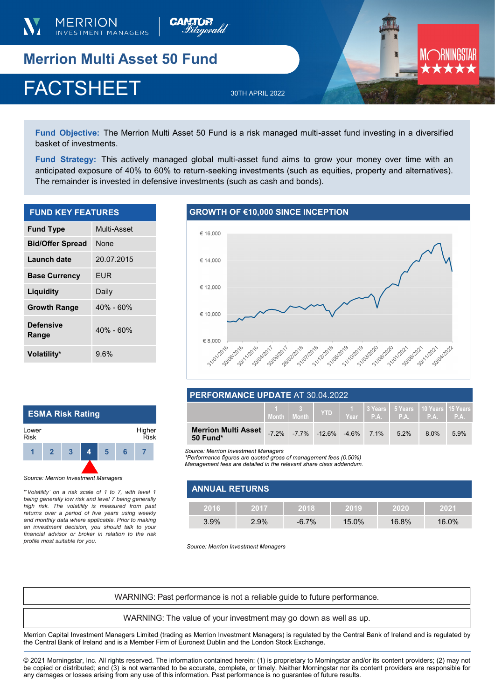



**Merrion Multi Asset 50 Fund** 

# FACTSHEET 30TH APRIL 2022

**Fund Objective:** The Merrion Multi Asset 50 Fund is a risk managed multi-asset fund investing in a diversified basket of investments.

**Fund Strategy:** This actively managed global multi-asset fund aims to grow your money over time with an anticipated exposure of 40% to 60% to return-seeking investments (such as equities, property and alternatives). The remainder is invested in defensive investments (such as cash and bonds).

| <b>FUND KEY FEATURES</b>  |               |  |  |
|---------------------------|---------------|--|--|
| <b>Fund Type</b>          | Multi-Asset   |  |  |
| <b>Bid/Offer Spread</b>   | <b>None</b>   |  |  |
| Launch date               | 20.07.2015    |  |  |
| <b>Base Currency</b>      | EUR           |  |  |
| Liquidity                 | Daily         |  |  |
| <b>Growth Range</b>       | $40\% - 60\%$ |  |  |
| <b>Defensive</b><br>Range | $40\% - 60\%$ |  |  |

# **GROWTH OF €10,000 SINCE INCEPTION**



# **PERFORMANCE UPDATE** AT 30.04.2022

|                                        | $\begin{array}{ c c c c }\n\hline\n1 & 3 & \n\end{array}$ | <b>YTD</b>                                |  | │ 1 │ 3 Years │ 5 Years │ 10 Years │ 15 Years │<br>$Year$ P.A. P.A. P.A. P.A. P.A. |      |      |
|----------------------------------------|-----------------------------------------------------------|-------------------------------------------|--|------------------------------------------------------------------------------------|------|------|
| <b>Merrion Multi Asset</b><br>50 Fund* |                                                           | $-7.2\%$ $-7.7\%$ $-12.6\%$ $-4.6\%$ 7.1% |  | 5.2%                                                                               | 8.0% | 5.9% |

**1 2 3 4 5 6 7** *Source: Merrion Investment Managers* 

*\*Performance figures are quoted gross of management fees (0.50%)* 

*Management fees are detailed in the relevant share class addendum.* 

| <b>ANNUAL RETURNS</b> |      |          |          |       |       |
|-----------------------|------|----------|----------|-------|-------|
| 2016                  | 2017 | 12018    | 2019     | 2020  | 2021  |
| $3.9\%$               | 2.9% | $-6.7\%$ | $15.0\%$ | 16.8% | 16.0% |

*Source: Merrion Investment Managers*

WARNING: Past performance is not a reliable guide to future performance.

WARNING: The value of your investment may go down as well as up.

Merrion Capital Investment Managers Limited (trading as Merrion Investment Managers) is regulated by the Central Bank of Ireland and is regulated by the Central Bank of Ireland and is a Member Firm of Euronext Dublin and the London Stock Exchange.

© 2021 Morningstar, Inc. All rights reserved. The information contained herein: (1) is proprietary to Morningstar and/or its content providers; (2) may not be copied or distributed; and (3) is not warranted to be accurate, complete, or timely. Neither Morningstar nor its content providers are responsible for any damages or losses arising from any use of this information. Past performance is no guarantee of future results.

| <b>ESMA Risk Rating</b> |              |   |   |   |    |                |  |
|-------------------------|--------------|---|---|---|----|----------------|--|
| Lower<br><b>Risk</b>    |              |   |   |   |    | Higher<br>Risk |  |
|                         | $\mathbf{2}$ | 3 | 4 | 5 | ิค |                |  |
|                         |              |   |   |   |    |                |  |

*Source: Merrion Investment Managers*

**Volatility\*** 9.6%

\*'*Volatility' on a risk scale of 1 to 7, with level 1 being generally low risk and level 7 being generally high risk. The volatility is measured from past returns over a period of five years using weekly and monthly data where applicable. Prior to making an investment decision, you should talk to your financial advisor or broker in relation to the risk profile most suitable for you.*